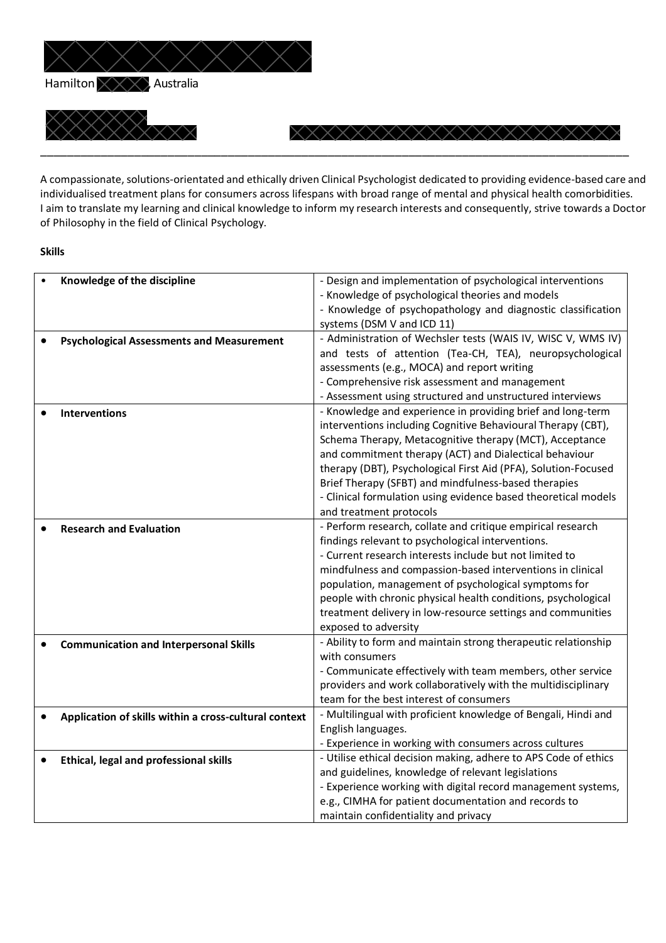

A compassionate, solutions-orientated and ethically driven Clinical Psychologist dedicated to providing evidence-based care and individualised treatment plans for consumers across lifespans with broad range of mental and physical health comorbidities. I aim to translate my learning and clinical knowledge to inform my research interests and consequently, strive towards a Doctor of Philosophy in the field of Clinical Psychology.

#### **Skills**

| Knowledge of the discipline                           | - Design and implementation of psychological interventions      |
|-------------------------------------------------------|-----------------------------------------------------------------|
|                                                       | - Knowledge of psychological theories and models                |
|                                                       | - Knowledge of psychopathology and diagnostic classification    |
|                                                       | systems (DSM V and ICD 11)                                      |
| <b>Psychological Assessments and Measurement</b>      | - Administration of Wechsler tests (WAIS IV, WISC V, WMS IV)    |
|                                                       | and tests of attention (Tea-CH, TEA), neuropsychological        |
|                                                       | assessments (e.g., MOCA) and report writing                     |
|                                                       | - Comprehensive risk assessment and management                  |
|                                                       | - Assessment using structured and unstructured interviews       |
| <b>Interventions</b>                                  | - Knowledge and experience in providing brief and long-term     |
|                                                       | interventions including Cognitive Behavioural Therapy (CBT),    |
|                                                       | Schema Therapy, Metacognitive therapy (MCT), Acceptance         |
|                                                       | and commitment therapy (ACT) and Dialectical behaviour          |
|                                                       |                                                                 |
|                                                       | therapy (DBT), Psychological First Aid (PFA), Solution-Focused  |
|                                                       | Brief Therapy (SFBT) and mindfulness-based therapies            |
|                                                       | - Clinical formulation using evidence based theoretical models  |
|                                                       | and treatment protocols                                         |
| <b>Research and Evaluation</b>                        | - Perform research, collate and critique empirical research     |
|                                                       | findings relevant to psychological interventions.               |
|                                                       | - Current research interests include but not limited to         |
|                                                       | mindfulness and compassion-based interventions in clinical      |
|                                                       | population, management of psychological symptoms for            |
|                                                       | people with chronic physical health conditions, psychological   |
|                                                       | treatment delivery in low-resource settings and communities     |
|                                                       | exposed to adversity                                            |
| <b>Communication and Interpersonal Skills</b>         | - Ability to form and maintain strong therapeutic relationship  |
|                                                       | with consumers                                                  |
|                                                       | - Communicate effectively with team members, other service      |
|                                                       | providers and work collaboratively with the multidisciplinary   |
|                                                       | team for the best interest of consumers                         |
| Application of skills within a cross-cultural context | - Multilingual with proficient knowledge of Bengali, Hindi and  |
|                                                       | English languages.                                              |
|                                                       | - Experience in working with consumers across cultures          |
| Ethical, legal and professional skills                | - Utilise ethical decision making, adhere to APS Code of ethics |
|                                                       | and guidelines, knowledge of relevant legislations              |
|                                                       | - Experience working with digital record management systems,    |
|                                                       | e.g., CIMHA for patient documentation and records to            |
|                                                       |                                                                 |
|                                                       | maintain confidentiality and privacy                            |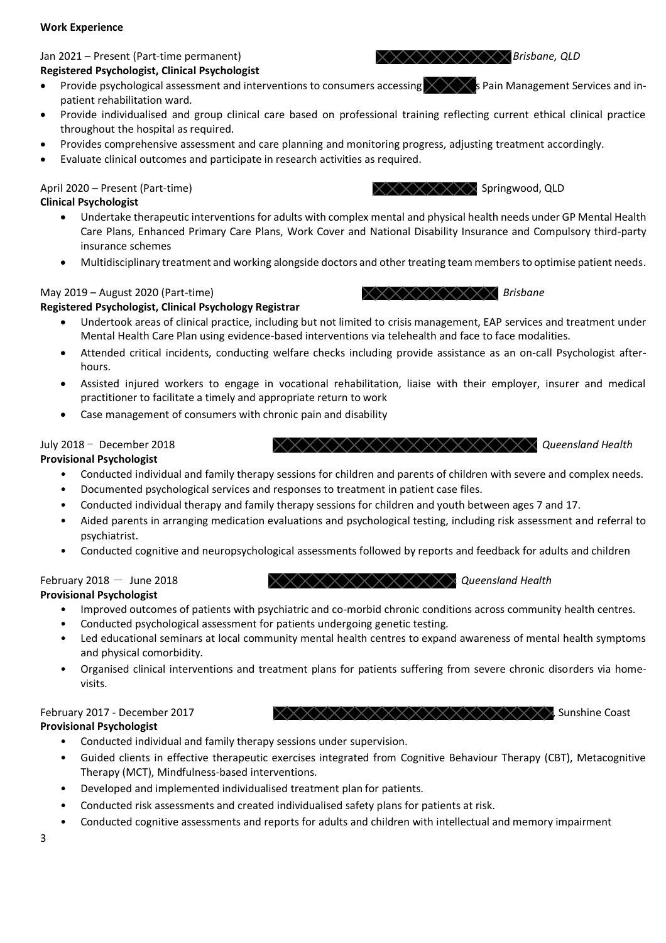#### **Work Experience**

# **Registered Psychologist, Clinical Psychologist**

- Provide psychological assessment and interventions to consumers accessing  $\times \times \times$  Pain Management Services and inpatient rehabilitation ward.
- Provide individualised and group clinical care based on professional training reflecting current ethical clinical practice throughout the hospital as required.
- Provides comprehensive assessment and care planning and monitoring progress, adjusting treatment accordingly.
- Evaluate clinical outcomes and participate in research activities as required.

# April 2020 – Present (Part-time) Springwood, QLD Springwood, QLD

## **Clinical Psychologist**

- Undertake therapeutic interventions for adults with complex mental and physical health needs under GP Mental Health Care Plans, Enhanced Primary Care Plans, Work Cover and National Disability Insurance and Compulsory third-party insurance schemes
- Multidisciplinary treatment and working alongside doctors and other treating team members to optimise patient needs.

# **Registered Psychologist, Clinical Psychology Registrar**

- Undertook areas of clinical practice, including but not limited to crisis management, EAP services and treatment under Mental Health Care Plan using evidence-based interventions via telehealth and face to face modalities.
- Attended critical incidents, conducting welfare checks including provide assistance as an on-call Psychologist afterhours.
- Assisted injured workers to engage in vocational rehabilitation, liaise with their employer, insurer and medical practitioner to facilitate a timely and appropriate return to work
- Case management of consumers with chronic pain and disability

# July 2018 - December 2018 *XXXXXXXXXXXXXXXXXXX Queensland Health*

# **Provisional Psychologist**

- Conducted individual and family therapy sessions for children and parents of children with severe and complex needs.
- Documented psychological services and responses to treatment in patient case files.
- Conducted individual therapy and family therapy sessions for children and youth between ages 7 and 17.
- Aided parents in arranging medication evaluations and psychological testing, including risk assessment and referral to psychiatrist.
- Conducted cognitive and neuropsychological assessments followed by reports and feedback for adults and children

# February 2018 - June 2018 **COMBING ASSESSMENT AND A CONSTRAINER AND ASSESSMENT AND A CONSTRAINER AND FOUND A CONSTRAINER AND A CONSTRAINER POINT AND RESIDENT A LIBRARY CONSTRAINER POINT A LIBRARY CONSTRAINER POINT A LIBRAR**

# **Provisional Psychologist**

- Improved outcomes of patients with psychiatric and co-morbid chronic conditions across community health centres.
- Conducted psychological assessment for patients undergoing genetic testing.
- Led educational seminars at local community mental health centres to expand awareness of mental health symptoms and physical comorbidity.
- Organised clinical interventions and treatment plans for patients suffering from severe chronic disorders via homevisits.

# **Provisional Psychologist**

- Conducted individual and family therapy sessions under supervision.
- Guided clients in effective therapeutic exercises integrated from Cognitive Behaviour Therapy (CBT), Metacognitive Therapy (MCT), Mindfulness-based interventions.
- Developed and implemented individualised treatment plan for patients.
- Conducted risk assessments and created individualised safety plans for patients at risk.
- Conducted cognitive assessments and reports for adults and children with intellectual and memory impairment









Jan 2021 – Present (Part-time permanent) *Brisbane*, QLD